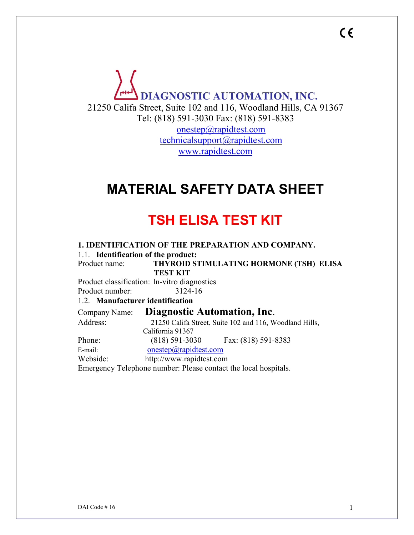

## **MATERIAL SAFETY DATA SHEET**

# **TSH ELISA TEST KIT**

**1. IDENTIFICATION OF THE PREPARATION AND COMPANY.** 1.1. **Identification of the product:** Product name: **THYROID STIMULATING HORMONE (TSH) ELISA TEST KIT** Product classification: In-vitro diagnostics Product number: 3124-16 1.2. **Manufacturer identification** Company Name: **Diagnostic Automation, Inc**. Address: 21250 Califa Street, Suite 102 and 116, Woodland Hills, California 91367 Phone: (818) 591-3030 Fax: (818) 591-8383 E-mail: [onestep@rapidtest.com](mailto:onestep@rapidtest.com) Webside: http://www.rapidtest.com Emergency Telephone number: Please contact the local hospitals.

 $C \in$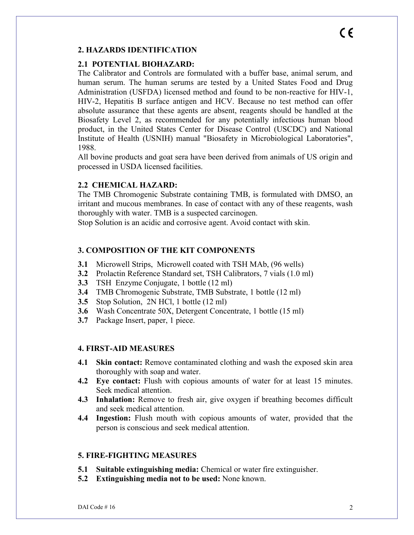# $\epsilon$

#### **2. HAZARDS IDENTIFICATION**

#### **2.1 POTENTIAL BIOHAZARD:**

The Calibrator and Controls are formulated with a buffer base, animal serum, and human serum. The human serums are tested by a United States Food and Drug Administration (USFDA) licensed method and found to be non-reactive for HIV-1, HIV-2, Hepatitis B surface antigen and HCV. Because no test method can offer absolute assurance that these agents are absent, reagents should be handled at the Biosafety Level 2, as recommended for any potentially infectious human blood product, in the United States Center for Disease Control (USCDC) and National Institute of Health (USNIH) manual "Biosafety in Microbiological Laboratories", 1988.

All bovine products and goat sera have been derived from animals of US origin and processed in USDA licensed facilities.

#### **2.2 CHEMICAL HAZARD:**

The TMB Chromogenic Substrate containing TMB, is formulated with DMSO, an irritant and mucous membranes. In case of contact with any of these reagents, wash thoroughly with water. TMB is a suspected carcinogen.

Stop Solution is an acidic and corrosive agent. Avoid contact with skin.

#### **3. COMPOSITION OF THE KIT COMPONENTS**

- **3.1** Microwell Strips, Microwell coated with TSH MAb, (96 wells)
- **3.2** Prolactin Reference Standard set, TSH Calibrators, 7 vials (1.0 ml)
- **3.3** TSH Enzyme Conjugate, 1 bottle (12 ml)
- **3.4** TMB Chromogenic Substrate, TMB Substrate, 1 bottle (12 ml)
- **3.5** Stop Solution, 2N HCl, 1 bottle (12 ml)
- **3.6** Wash Concentrate 50X, Detergent Concentrate, 1 bottle (15 ml)
- **3.7** Package Insert, paper, 1 piece.

#### **4. FIRST-AID MEASURES**

- **4.1 Skin contact:** Remove contaminated clothing and wash the exposed skin area thoroughly with soap and water.
- **4.2 Eye contact:** Flush with copious amounts of water for at least 15 minutes. Seek medical attention.
- **4.3 Inhalation:** Remove to fresh air, give oxygen if breathing becomes difficult and seek medical attention.
- **4.4 Ingestion:** Flush mouth with copious amounts of water, provided that the person is conscious and seek medical attention.

#### **5. FIRE-FIGHTING MEASURES**

- **5.1 Suitable extinguishing media:** Chemical or water fire extinguisher.
- **5.2 Extinguishing media not to be used:** None known.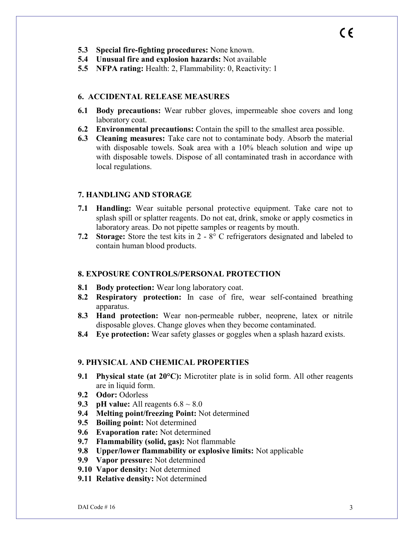- **5.3 Special fire-fighting procedures:** None known.
- **5.4 Unusual fire and explosion hazards:** Not available
- **5.5 NFPA rating:** Health: 2, Flammability: 0, Reactivity: 1

#### **6. ACCIDENTAL RELEASE MEASURES**

- **6.1 Body precautions:** Wear rubber gloves, impermeable shoe covers and long laboratory coat.
- **6.2 Environmental precautions:** Contain the spill to the smallest area possible.
- **6.3 Cleaning measures:** Take care not to contaminate body. Absorb the material with disposable towels. Soak area with a 10% bleach solution and wipe up with disposable towels. Dispose of all contaminated trash in accordance with local regulations.

#### **7. HANDLING AND STORAGE**

- **7.1 Handling:** Wear suitable personal protective equipment. Take care not to splash spill or splatter reagents. Do not eat, drink, smoke or apply cosmetics in laboratory areas. Do not pipette samples or reagents by mouth.
- **7.2 Storage:** Store the test kits in 2 8° C refrigerators designated and labeled to contain human blood products.

#### **8. EXPOSURE CONTROLS/PERSONAL PROTECTION**

- **8.1 Body protection:** Wear long laboratory coat.
- **8.2 Respiratory protection:** In case of fire, wear self-contained breathing apparatus.
- **8.3 Hand protection:** Wear non-permeable rubber, neoprene, latex or nitrile disposable gloves. Change gloves when they become contaminated.
- **8.4 Eye protection:** Wear safety glasses or goggles when a splash hazard exists.

#### **9. PHYSICAL AND CHEMICAL PROPERTIES**

- **9.1 Physical state (at 20°C):** Microtiter plate is in solid form. All other reagents are in liquid form.
- **9.2 Odor:** Odorless
- **9.3 pH** value: All reagents  $6.8 \sim 8.0$
- **9.4 Melting point/freezing Point:** Not determined
- **9.5 Boiling point:** Not determined
- **9.6 Evaporation rate:** Not determined
- **9.7 Flammability (solid, gas):** Not flammable
- **9.8 Upper/lower flammability or explosive limits:** Not applicable
- **9.9 Vapor pressure:** Not determined
- **9.10 Vapor density:** Not determined
- **9.11 Relative density:** Not determined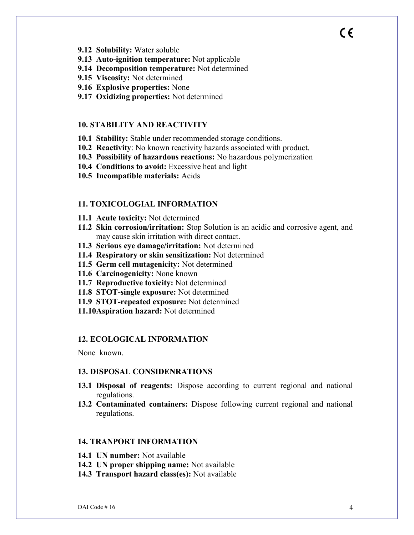- **9.12 Solubility:** Water soluble
- **9.13 Auto-ignition temperature:** Not applicable
- **9.14 Decomposition temperature:** Not determined
- **9.15 Viscosity:** Not determined
- **9.16 Explosive properties:** None
- **9.17 Oxidizing properties:** Not determined

#### **10. STABILITY AND REACTIVITY**

- **10.1 Stability:** Stable under recommended storage conditions.
- **10.2 Reactivity**: No known reactivity hazards associated with product.
- **10.3 Possibility of hazardous reactions:** No hazardous polymerization
- **10.4 Conditions to avoid:** Excessive heat and light
- **10.5 Incompatible materials:** Acids

#### **11. TOXICOLOGIAL INFORMATION**

- **11.1 Acute toxicity:** Not determined
- **11.2 Skin corrosion/irritation:** Stop Solution is an acidic and corrosive agent, and may cause skin irritation with direct contact.
- **11.3 Serious eye damage/irritation:** Not determined
- **11.4 Respiratory or skin sensitization:** Not determined
- **11.5 Germ cell mutagenicity:** Not determined
- **11.6 Carcinogenicity:** None known
- **11.7 Reproductive toxicity:** Not determined
- **11.8 STOT-single exposure:** Not determined
- **11.9 STOT-repeated exposure:** Not determined
- **11.10Aspiration hazard:** Not determined

#### **12. ECOLOGICAL INFORMATION**

None known.

#### **13. DISPOSAL CONSIDENRATIONS**

- **13.1 Disposal of reagents:** Dispose according to current regional and national regulations.
- **13.2 Contaminated containers:** Dispose following current regional and national regulations.

#### **14. TRANPORT INFORMATION**

- **14.1 UN number:** Not available
- **14.2 UN proper shipping name:** Not available
- **14.3 Transport hazard class(es):** Not available

 $\epsilon$